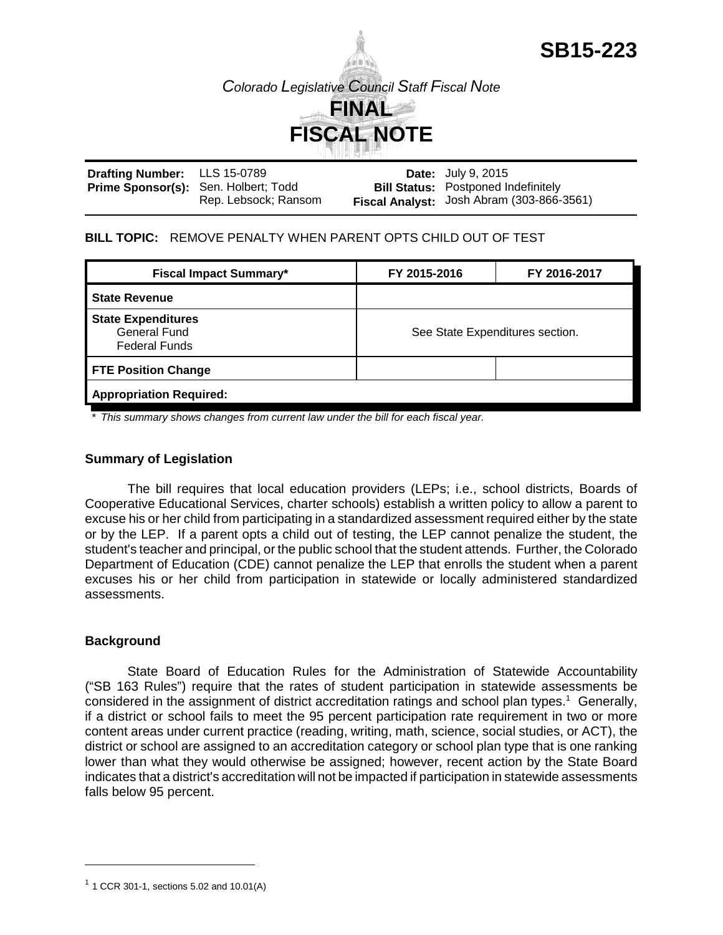

**SB15-223**

| <b>Drafting Number:</b> LLS 15-0789         |                      | <b>Date:</b> July 9, 2015                        |
|---------------------------------------------|----------------------|--------------------------------------------------|
| <b>Prime Sponsor(s):</b> Sen. Holbert; Todd |                      | <b>Bill Status:</b> Postponed Indefinitely       |
|                                             | Rep. Lebsock; Ransom | <b>Fiscal Analyst:</b> Josh Abram (303-866-3561) |

### **BILL TOPIC:** REMOVE PENALTY WHEN PARENT OPTS CHILD OUT OF TEST

| <b>Fiscal Impact Summary*</b>                                     | FY 2015-2016                    | FY 2016-2017 |  |  |
|-------------------------------------------------------------------|---------------------------------|--------------|--|--|
| <b>State Revenue</b>                                              |                                 |              |  |  |
| <b>State Expenditures</b><br>General Fund<br><b>Federal Funds</b> | See State Expenditures section. |              |  |  |
| <b>FTE Position Change</b>                                        |                                 |              |  |  |
| <b>Appropriation Required:</b>                                    |                                 |              |  |  |

*\* This summary shows changes from current law under the bill for each fiscal year.* 

### **Summary of Legislation**

The bill requires that local education providers (LEPs; i.e., school districts, Boards of Cooperative Educational Services, charter schools) establish a written policy to allow a parent to excuse his or her child from participating in a standardized assessment required either by the state or by the LEP. If a parent opts a child out of testing, the LEP cannot penalize the student, the student's teacher and principal, or the public school that the student attends. Further, the Colorado Department of Education (CDE) cannot penalize the LEP that enrolls the student when a parent excuses his or her child from participation in statewide or locally administered standardized assessments.

### **Background**

State Board of Education Rules for the Administration of Statewide Accountability ("SB 163 Rules") require that the rates of student participation in statewide assessments be considered in the assignment of district accreditation ratings and school plan types.<sup>1</sup> Generally, if a district or school fails to meet the 95 percent participation rate requirement in two or more content areas under current practice (reading, writing, math, science, social studies, or ACT), the district or school are assigned to an accreditation category or school plan type that is one ranking lower than what they would otherwise be assigned; however, recent action by the State Board indicates that a district's accreditation will not be impacted if participation in statewide assessments falls below 95 percent.

 $1$  1 CCR 301-1, sections 5.02 and 10.01(A)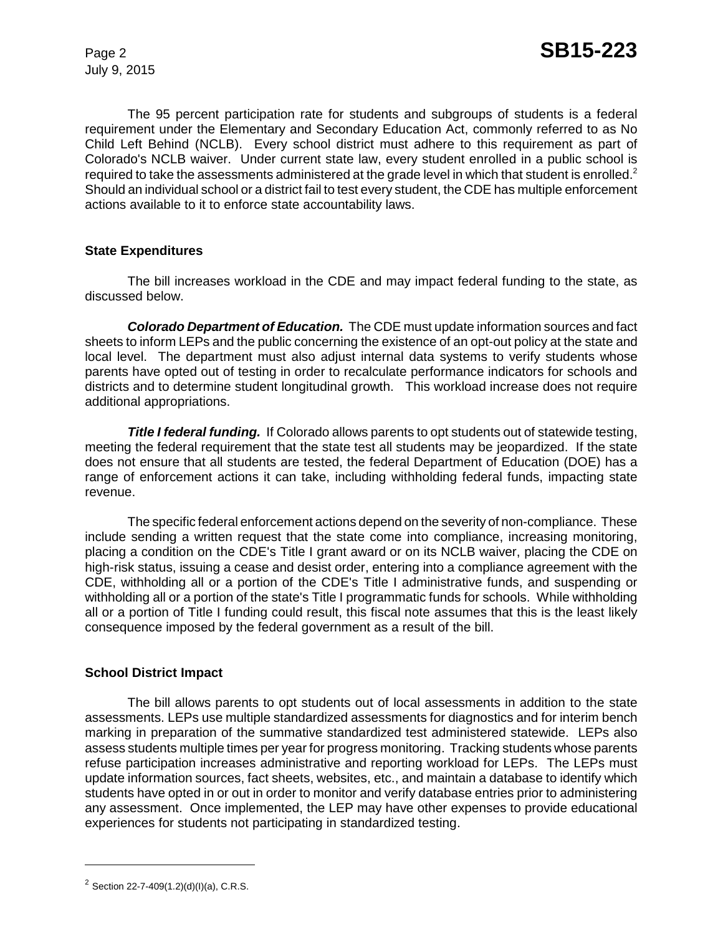July 9, 2015

The 95 percent participation rate for students and subgroups of students is a federal requirement under the Elementary and Secondary Education Act, commonly referred to as No Child Left Behind (NCLB). Every school district must adhere to this requirement as part of Colorado's NCLB waiver. Under current state law, every student enrolled in a public school is required to take the assessments administered at the grade level in which that student is enrolled.<sup>2</sup> Should an individual school or a district fail to test every student, the CDE has multiple enforcement actions available to it to enforce state accountability laws.

## **State Expenditures**

The bill increases workload in the CDE and may impact federal funding to the state, as discussed below.

*Colorado Department of Education.* The CDE must update information sources and fact sheets to inform LEPs and the public concerning the existence of an opt-out policy at the state and local level. The department must also adjust internal data systems to verify students whose parents have opted out of testing in order to recalculate performance indicators for schools and districts and to determine student longitudinal growth. This workload increase does not require additional appropriations.

**Title I federal funding.** If Colorado allows parents to opt students out of statewide testing, meeting the federal requirement that the state test all students may be jeopardized. If the state does not ensure that all students are tested, the federal Department of Education (DOE) has a range of enforcement actions it can take, including withholding federal funds, impacting state revenue.

The specific federal enforcement actions depend on the severity of non-compliance. These include sending a written request that the state come into compliance, increasing monitoring, placing a condition on the CDE's Title I grant award or on its NCLB waiver, placing the CDE on high-risk status, issuing a cease and desist order, entering into a compliance agreement with the CDE, withholding all or a portion of the CDE's Title I administrative funds, and suspending or withholding all or a portion of the state's Title I programmatic funds for schools. While withholding all or a portion of Title I funding could result, this fiscal note assumes that this is the least likely consequence imposed by the federal government as a result of the bill.

### **School District Impact**

The bill allows parents to opt students out of local assessments in addition to the state assessments. LEPs use multiple standardized assessments for diagnostics and for interim bench marking in preparation of the summative standardized test administered statewide. LEPs also assess students multiple times per year for progress monitoring. Tracking students whose parents refuse participation increases administrative and reporting workload for LEPs. The LEPs must update information sources, fact sheets, websites, etc., and maintain a database to identify which students have opted in or out in order to monitor and verify database entries prior to administering any assessment. Once implemented, the LEP may have other expenses to provide educational experiences for students not participating in standardized testing.

<sup>&</sup>lt;sup>2</sup> Section 22-7-409(1.2)(d)(l)(a), C.R.S.